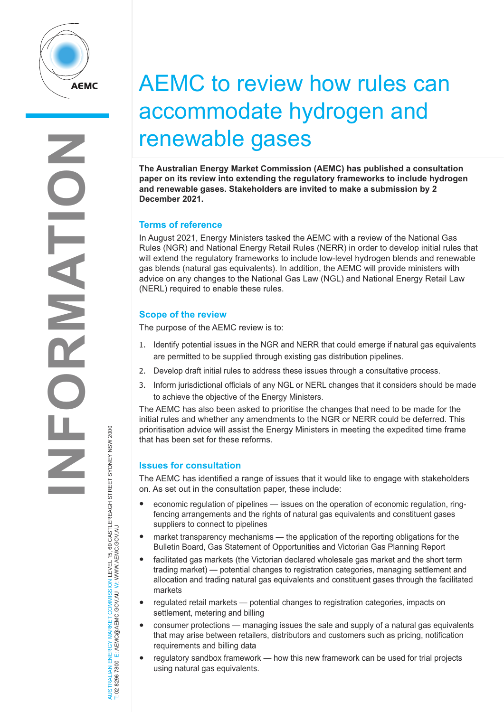

# AEMC to review how rules can accommodate hydrogen and renewable gases

**The Australian Energy Market Commission (AEMC) has published a consultation paper on its review into extending the regulatory frameworks to include hydrogen and renewable gases. Stakeholders are invited to make a submission by 2 December 2021.**

## **Terms of reference**

In August 2021, Energy Ministers tasked the AEMC with a review of the National Gas Rules (NGR) and National Energy Retail Rules (NERR) in order to develop initial rules that will extend the regulatory frameworks to include low-level hydrogen blends and renewable gas blends (natural gas equivalents). In addition, the AEMC will provide ministers with advice on any changes to the National Gas Law (NGL) and National Energy Retail Law (NERL) required to enable these rules.

## **Scope of the review**

The purpose of the AEMC review is to:

- 1. Identify potential issues in the NGR and NERR that could emerge if natural gas equivalents are permitted to be supplied through existing gas distribution pipelines.
- 2. Develop draft initial rules to address these issues through a consultative process.
- 3. Inform jurisdictional officials of any NGL or NERL changes that it considers should be made to achieve the objective of the Energy Ministers.

The AEMC has also been asked to prioritise the changes that need to be made for the initial rules and whether any amendments to the NGR or NERR could be deferred. This prioritisation advice will assist the Energy Ministers in meeting the expedited time frame that has been set for these reforms.

## **Issues for consultation**

The AEMC has identified a range of issues that it would like to engage with stakeholders on. As set out in the consultation paper, these include:

- economic regulation of pipelines issues on the operation of economic regulation, ringfencing arrangements and the rights of natural gas equivalents and constituent gases suppliers to connect to pipelines
- market transparency mechanisms the application of the reporting obligations for the Bulletin Board, Gas Statement of Opportunities and Victorian Gas Planning Report
- facilitated gas markets (the Victorian declared wholesale gas market and the short term trading market) — potential changes to registration categories, managing settlement and allocation and trading natural gas equivalents and constituent gases through the facilitated markets
- regulated retail markets potential changes to registration categories, impacts on settlement, metering and billing
- consumer protections managing issues the sale and supply of a natural gas equivalents that may arise between retailers, distributors and customers such as pricing, notification requirements and billing data
- regulatory sandbox framework how this new framework can be used for trial projects using natural gas equivalents.

NERGY MARKET COMMISSION LEVEL 15, 60 CASTLEREAGH STREET SYDNEY NSW 2000<br>E: AEMC@AEMC.GOV.AU W: WWW.AEMC.GOV.AU AUSTRALIAN ENERGY MARKET COMMISSION LEVEL 15, 60 CASTLEREAGH STREET SYDNEY NSW 2000 T: 02 8296 7800 E: AEMC@AEMC.GOV.AU W: WWW.AEMC.GOV.AU AUSTRALIAN ENERGY MARKET T: 02 8296 7800